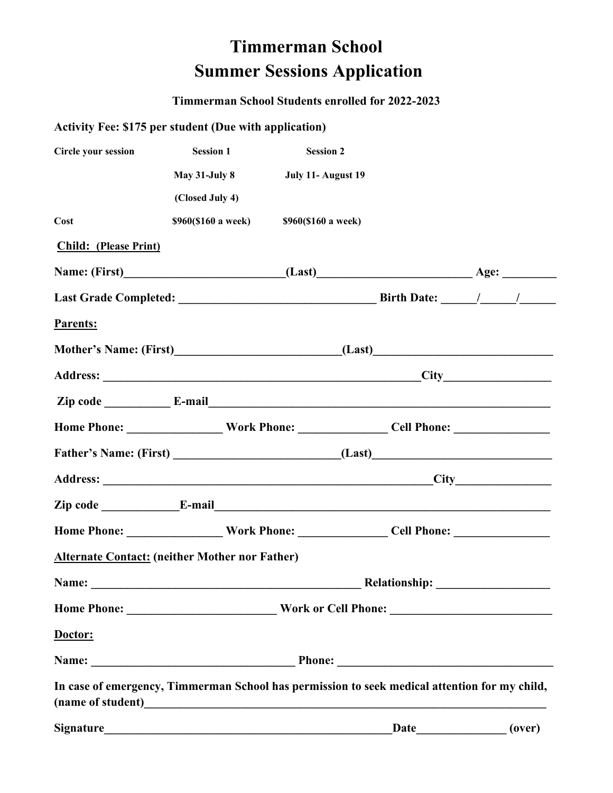## **Timmerman School Summer Sessions Application**

## **Timmerman School Students enrolled for 2022-2023**

## **Activity Fee: \$175 per student (Due with application)**

| <b>Circle your session</b>                                                                    | <b>Session 1</b>    | <b>Session 2</b>    |             |  |        |
|-----------------------------------------------------------------------------------------------|---------------------|---------------------|-------------|--|--------|
|                                                                                               | May 31-July 8       | July 11- August 19  |             |  |        |
|                                                                                               | (Closed July 4)     |                     |             |  |        |
| Cost                                                                                          | \$960(\$160 a week) | \$960(\$160 a week) |             |  |        |
| <b>Child: (Please Print)</b>                                                                  |                     |                     |             |  |        |
|                                                                                               |                     |                     |             |  |        |
|                                                                                               |                     |                     |             |  |        |
| Parents:                                                                                      |                     |                     |             |  |        |
|                                                                                               |                     |                     |             |  |        |
|                                                                                               |                     |                     |             |  |        |
|                                                                                               |                     |                     |             |  |        |
|                                                                                               |                     |                     |             |  |        |
|                                                                                               |                     |                     |             |  |        |
|                                                                                               |                     |                     |             |  |        |
|                                                                                               |                     |                     |             |  |        |
|                                                                                               |                     |                     |             |  |        |
| <b>Alternate Contact: (neither Mother nor Father)</b>                                         |                     |                     |             |  |        |
|                                                                                               |                     |                     |             |  |        |
|                                                                                               |                     |                     |             |  |        |
| Doctor:                                                                                       |                     |                     |             |  |        |
|                                                                                               |                     |                     |             |  |        |
| In case of emergency, Timmerman School has permission to seek medical attention for my child, |                     |                     |             |  |        |
| <b>Signature</b>                                                                              |                     |                     | <b>Date</b> |  | (over) |